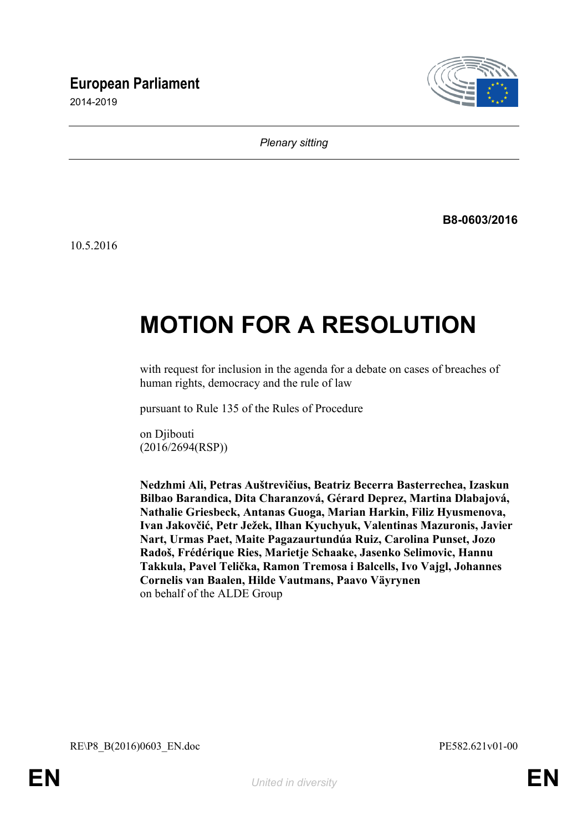# **European Parliament**

2014-2019



*Plenary sitting*

**B8-0603/2016**

10.5.2016

# **MOTION FOR A RESOLUTION**

with request for inclusion in the agenda for a debate on cases of breaches of human rights, democracy and the rule of law

pursuant to Rule 135 of the Rules of Procedure

on Djibouti (2016/2694(RSP))

**Nedzhmi Ali, Petras Auštrevičius, Beatriz Becerra Basterrechea, Izaskun Bilbao Barandica, Dita Charanzová, Gérard Deprez, Martina Dlabajová, Nathalie Griesbeck, Antanas Guoga, Marian Harkin, Filiz Hyusmenova, Ivan Jakovčić, Petr Ježek, Ilhan Kyuchyuk, Valentinas Mazuronis, Javier Nart, Urmas Paet, Maite Pagazaurtundúa Ruiz, Carolina Punset, Jozo Radoš, Frédérique Ries, Marietje Schaake, Jasenko Selimovic, Hannu Takkula, Pavel Telička, Ramon Tremosa i Balcells, Ivo Vajgl, Johannes Cornelis van Baalen, Hilde Vautmans, Paavo Väyrynen** on behalf of the ALDE Group

<span id="page-0-1"></span><span id="page-0-0"></span>RE\P8\_B(2016)0603\_EN.doc PE582.621v01-00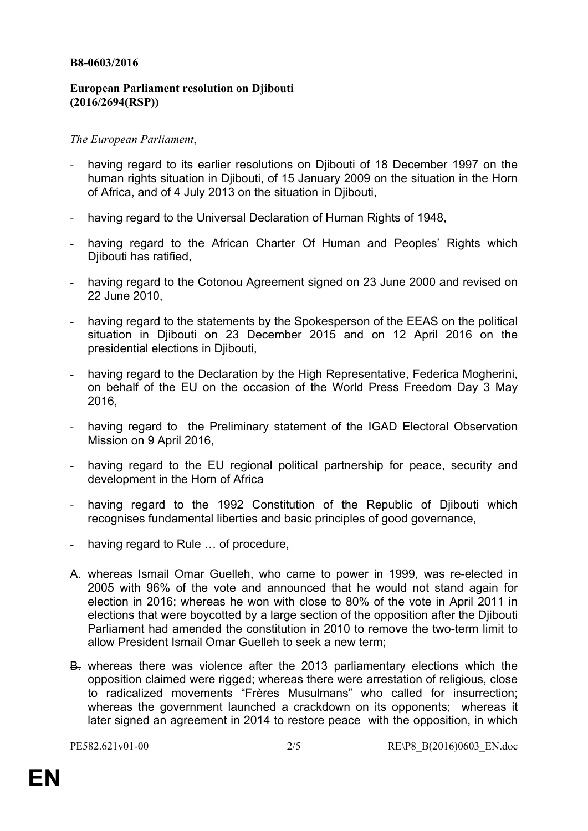#### **B8-0603/2016**

## **European Parliament resolution on Djibouti (2016/2694(RSP))**

## *The European Parliament*,

- having regard to its earlier resolutions on Djibouti of 18 December 1997 on the human rights situation in Djibouti, of 15 January 2009 on the situation in the Horn of Africa, and of 4 July 2013 on the situation in Djibouti,
- having regard to the Universal Declaration of Human Rights of 1948,
- having regard to the African Charter Of Human and Peoples' Rights which Diibouti has ratified.
- having regard to the Cotonou Agreement signed on 23 June 2000 and revised on 22 June 2010,
- having regard to the statements by the Spokesperson of the EEAS on the political situation in Djibouti on 23 December 2015 and on 12 April 2016 on the presidential elections in Djibouti,
- having regard to the Declaration by the High Representative, Federica Mogherini, on behalf of the EU on the occasion of the World Press Freedom Day 3 May 2016,
- having regard to the Preliminary statement of the IGAD Electoral Observation Mission on 9 April 2016,
- having regard to the EU regional political partnership for peace, security and development in the Horn of Africa
- having regard to the 1992 Constitution of the Republic of Diibouti which recognises fundamental liberties and basic principles of good governance,
- having regard to Rule ... of procedure,
- A. whereas Ismail Omar Guelleh, who came to power in 1999, was re-elected in 2005 with 96% of the vote and announced that he would not stand again for election in 2016; whereas he won with close to 80% of the vote in April 2011 in elections that were boycotted by a large section of the opposition after the Djibouti Parliament had amended the constitution in 2010 to remove the two-term limit to allow President Ismail Omar Guelleh to seek a new term;
- B. whereas there was violence after the 2013 parliamentary elections which the opposition claimed were rigged; whereas there were arrestation of religious, close to radicalized movements "Frères Musulmans" who called for insurrection; whereas the government launched a crackdown on its opponents; whereas it later signed an agreement in 2014 to restore peace with the opposition, in which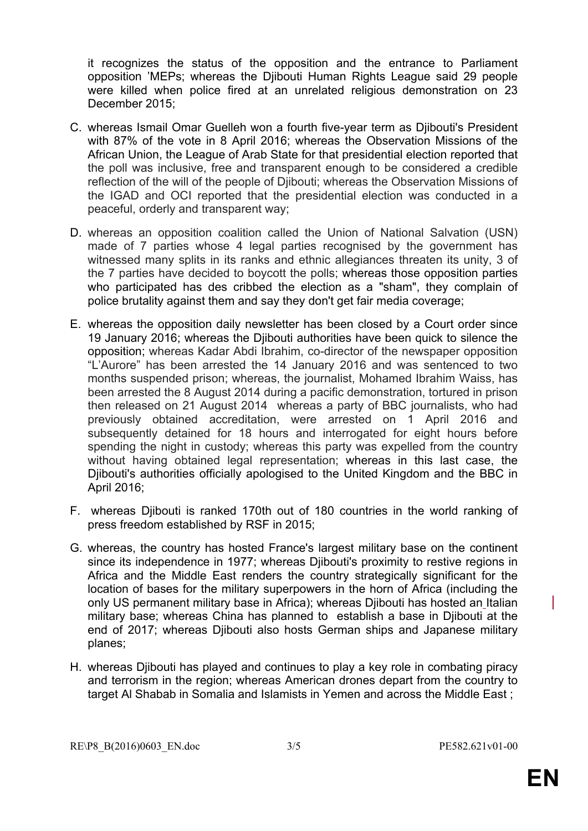it recognizes the status of the opposition and the entrance to Parliament opposition 'MEPs; whereas the Djibouti Human Rights League said 29 people were killed when police fired at an unrelated religious demonstration on 23 December 2015;

- C. whereas Ismail Omar Guelleh won a fourth five-year term as Djibouti's President with 87% of the vote in 8 April 2016; whereas the Observation Missions of the African Union, the League of Arab State for that presidential election reported that the poll was inclusive, free and transparent enough to be considered a credible reflection of the will of the people of Djibouti; whereas the Observation Missions of the IGAD and OCI reported that the presidential election was conducted in a peaceful, orderly and transparent way;
- D. whereas an opposition coalition called the Union of National Salvation (USN) made of 7 parties whose 4 legal parties recognised by the government has witnessed many splits in its ranks and ethnic allegiances threaten its unity, 3 of the 7 parties have decided to boycott the polls; whereas those opposition parties who participated has des cribbed the election as a "sham", they complain of police brutality against them and say they don't get fair media coverage;
- E. whereas the opposition daily newsletter has been closed by a Court order since 19 January 2016; whereas the Djibouti authorities have been quick to silence the opposition; whereas Kadar Abdi Ibrahim, co-director of the newspaper opposition "L'Aurore" has been arrested the 14 January 2016 and was sentenced to two months suspended prison; whereas, the journalist, Mohamed Ibrahim Waiss, has been arrested the 8 August 2014 during a pacific demonstration, tortured in prison then released on 21 August 2014 whereas a party of BBC journalists, who had previously obtained accreditation, were arrested on 1 April 2016 and subsequently detained for 18 hours and interrogated for eight hours before spending the night in custody; whereas this party was expelled from the country without having obtained legal representation; whereas in this last case, the Djibouti's authorities officially apologised to the United Kingdom and the BBC in April 2016;
- F. whereas Djibouti is ranked 170th out of 180 countries in the world ranking of press freedom established by RSF in 2015;
- G. whereas, the country has hosted France's largest military base on the continent since its independence in 1977; whereas Djibouti's proximity to restive regions in Africa and the Middle East renders the country strategically significant for the location of bases for the military superpowers in the horn of Africa (including the only US permanent military base in Africa); whereas Djibouti has hosted an Italian military base; whereas China has planned to establish a base in Djibouti at the end of 2017; whereas Djibouti also hosts German ships and Japanese military planes;
- H. whereas Djibouti has played and continues to play a key role in combating piracy and terrorism in the region; whereas American drones depart from the country to target Al Shabab in Somalia and Islamists in Yemen and across the Middle East ;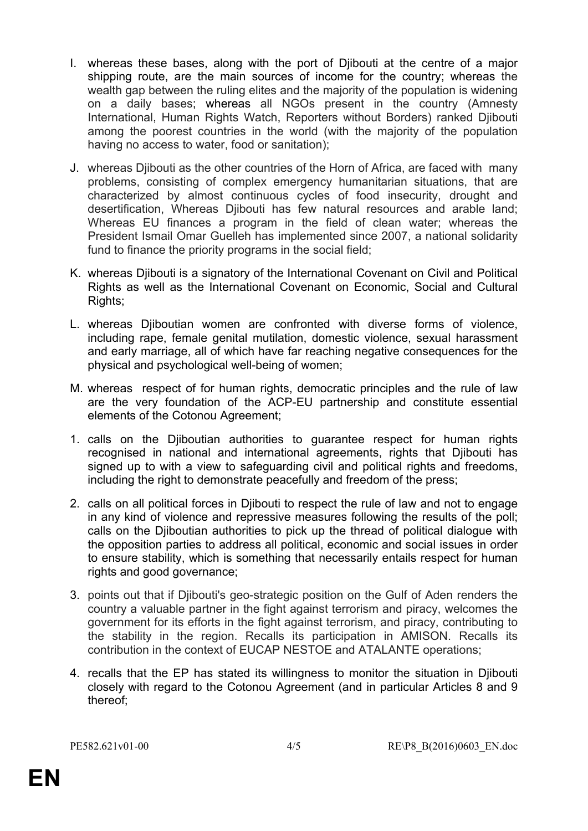- I. whereas these bases, along with the port of Djibouti at the centre of a major shipping route, are the main sources of income for the country; whereas the wealth gap between the ruling elites and the majority of the population is widening on a daily bases; whereas all NGOs present in the country (Amnesty International, Human Rights Watch, Reporters without Borders) ranked Djibouti among the poorest countries in the world (with the majority of the population having no access to water, food or sanitation);
- J. whereas Djibouti as the other countries of the Horn of Africa, are faced with many problems, consisting of complex emergency humanitarian situations, that are characterized by almost continuous cycles of food insecurity, drought and desertification, Whereas Djibouti has few natural resources and arable land; Whereas EU finances a program in the field of clean water; whereas the President Ismail Omar Guelleh has implemented since 2007, a national solidarity fund to finance the priority programs in the social field;
- K. whereas Djibouti is a signatory of the International Covenant on Civil and Political Rights as well as the International Covenant on Economic, Social and Cultural Rights;
- L. whereas Djiboutian women are confronted with diverse forms of violence, including rape, female genital mutilation, domestic violence, sexual harassment and early marriage, all of which have far reaching negative consequences for the physical and psychological well-being of women;
- M. whereas respect of for human rights, democratic principles and the rule of law are the very foundation of the ACP-EU partnership and constitute essential elements of the Cotonou Agreement;
- 1. calls on the Djiboutian authorities to guarantee respect for human rights recognised in national and international agreements, rights that Djibouti has signed up to with a view to safeguarding civil and political rights and freedoms, including the right to demonstrate peacefully and freedom of the press;
- 2. calls on all political forces in Djibouti to respect the rule of law and not to engage in any kind of violence and repressive measures following the results of the poll; calls on the Djiboutian authorities to pick up the thread of political dialogue with the opposition parties to address all political, economic and social issues in order to ensure stability, which is something that necessarily entails respect for human rights and good governance;
- 3. points out that if Djibouti's geo-strategic position on the Gulf of Aden renders the country a valuable partner in the fight against terrorism and piracy, welcomes the government for its efforts in the fight against terrorism, and piracy, contributing to the stability in the region. Recalls its participation in AMISON. Recalls its contribution in the context of EUCAP NESTOE and ATALANTE operations;
- 4. recalls that the EP has stated its willingness to monitor the situation in Djibouti closely with regard to the Cotonou Agreement (and in particular Articles 8 and 9 thereof;